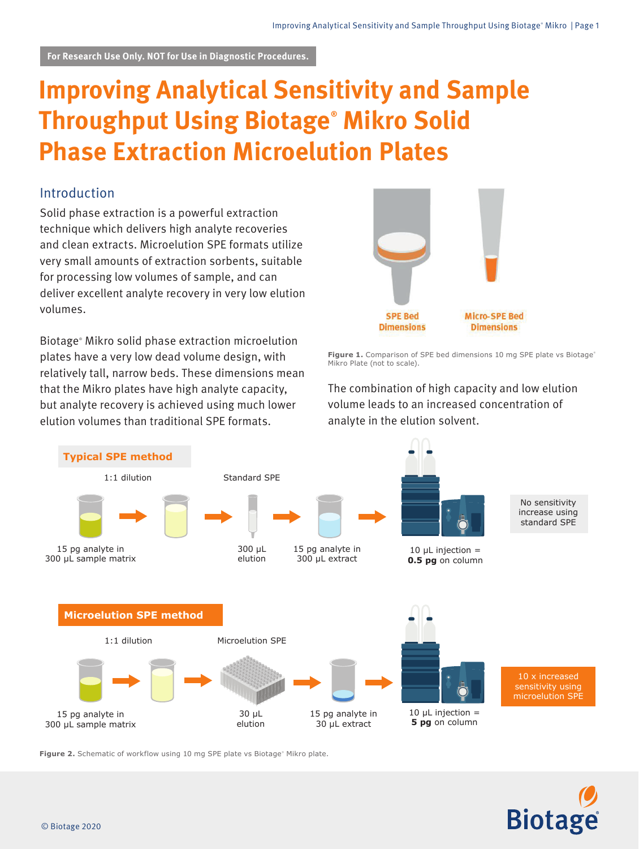# **Improving Analytical Sensitivity and Sample Throughput Using Biotage® Mikro Solid Phase Extraction Microelution Plates**

## Introduction

Solid phase extraction is a powerful extraction technique which delivers high analyte recoveries and clean extracts. Microelution SPE formats utilize very small amounts of extraction sorbents, suitable for processing low volumes of sample, and can deliver excellent analyte recovery in very low elution volumes.

Biotage® Mikro solid phase extraction microelution plates have a very low dead volume design, with relatively tall, narrow beds. These dimensions mean that the Mikro plates have high analyte capacity, but analyte recovery is achieved using much lower elution volumes than traditional SPE formats.



Figure 1. Comparison of SPE bed dimensions 10 mg SPE plate vs Biotage® Mikro Plate (not to scale).

The combination of high capacity and low elution volume leads to an increased concentration of analyte in the elution solvent.



**Figure 2.** Schematic of workflow using 10 mg SPE plate vs Biotage® Mikro plate.